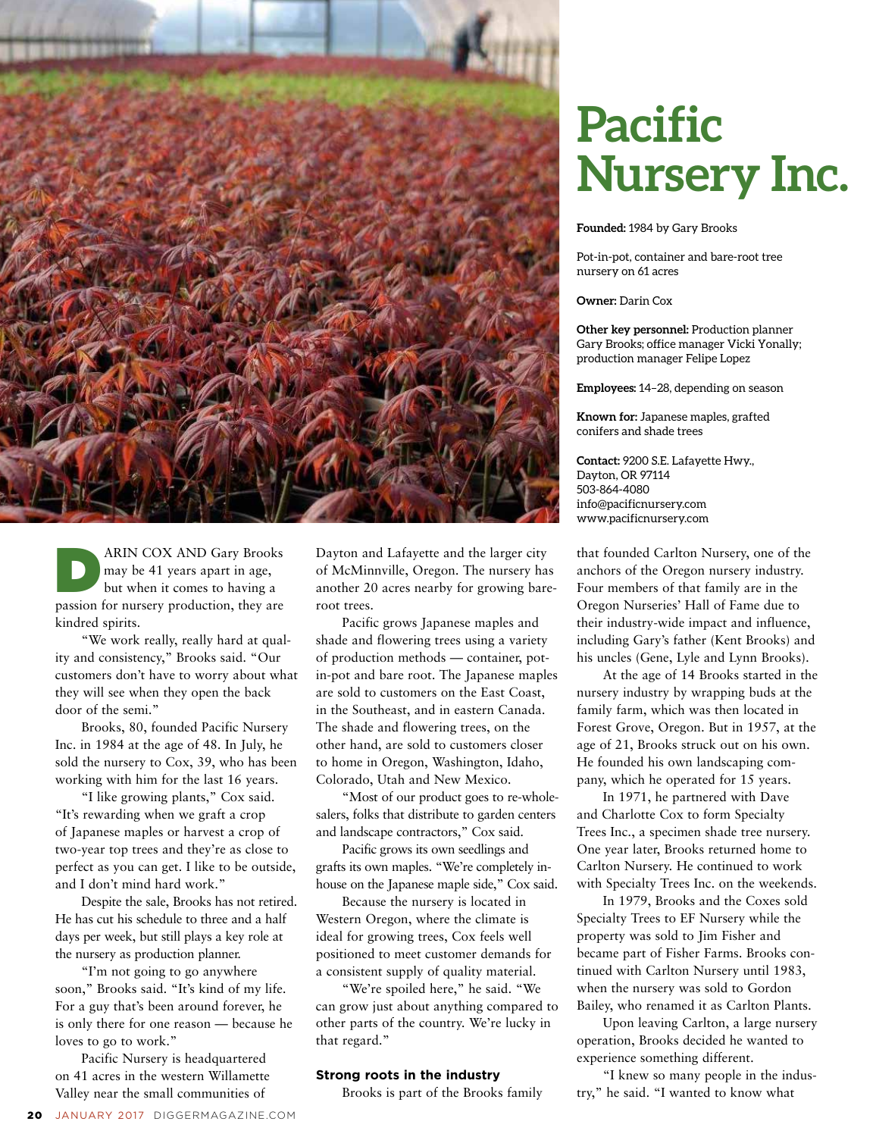

ARIN COX AND Gary Brooks may be 41 years apart in age, but when it comes to having a passion for nursery production, they are kindred spirits.

"We work really, really hard at quality and consistency," Brooks said. "Our customers don't have to worry about what they will see when they open the back door of the semi."

Brooks, 80, founded Pacific Nursery Inc. in 1984 at the age of 48. In July, he sold the nursery to Cox, 39, who has been working with him for the last 16 years.

"I like growing plants," Cox said. "It's rewarding when we graft a crop of Japanese maples or harvest a crop of two-year top trees and they're as close to perfect as you can get. I like to be outside, and I don't mind hard work."

Despite the sale, Brooks has not retired. He has cut his schedule to three and a half days per week, but still plays a key role at the nursery as production planner.

"I'm not going to go anywhere soon," Brooks said. "It's kind of my life. For a guy that's been around forever, he is only there for one reason — because he loves to go to work."

Pacific Nursery is headquartered on 41 acres in the western Willamette Valley near the small communities of

Dayton and Lafayette and the larger city of McMinnville, Oregon. The nursery has another 20 acres nearby for growing bareroot trees.

Pacific grows Japanese maples and shade and flowering trees using a variety of production methods — container, potin-pot and bare root. The Japanese maples are sold to customers on the East Coast, in the Southeast, and in eastern Canada. The shade and flowering trees, on the other hand, are sold to customers closer to home in Oregon, Washington, Idaho, Colorado, Utah and New Mexico.

"Most of our product goes to re-wholesalers, folks that distribute to garden centers and landscape contractors," Cox said.

Pacific grows its own seedlings and grafts its own maples. "We're completely inhouse on the Japanese maple side," Cox said.

Because the nursery is located in Western Oregon, where the climate is ideal for growing trees, Cox feels well positioned to meet customer demands for a consistent supply of quality material.

"We're spoiled here," he said. "We can grow just about anything compared to other parts of the country. We're lucky in that regard."

### **Strong roots in the industry**

Brooks is part of the Brooks family

# **Pacific Nursery Inc.**

# **Founded:** 1984 by Gary Brooks

Pot-in-pot, container and bare-root tree nursery on 61 acres

## **Owner:** Darin Cox

**Other key personnel:** Production planner Gary Brooks; office manager Vicki Yonally; production manager Felipe Lopez

**Employees:** 14–28, depending on season

**Known for:** Japanese maples, grafted conifers and shade trees

**Contact:** 9200 S.E. Lafayette Hwy., Dayton, OR 97114 503-864-4080 info@pacificnursery.com www.pacificnursery.com

that founded Carlton Nursery, one of the anchors of the Oregon nursery industry. Four members of that family are in the Oregon Nurseries' Hall of Fame due to their industry-wide impact and influence, including Gary's father (Kent Brooks) and his uncles (Gene, Lyle and Lynn Brooks).

At the age of 14 Brooks started in the nursery industry by wrapping buds at the family farm, which was then located in Forest Grove, Oregon. But in 1957, at the age of 21, Brooks struck out on his own. He founded his own landscaping company, which he operated for 15 years.

In 1971, he partnered with Dave and Charlotte Cox to form Specialty Trees Inc., a specimen shade tree nursery. One year later, Brooks returned home to Carlton Nursery. He continued to work with Specialty Trees Inc. on the weekends.

In 1979, Brooks and the Coxes sold Specialty Trees to EF Nursery while the property was sold to Jim Fisher and became part of Fisher Farms. Brooks continued with Carlton Nursery until 1983, when the nursery was sold to Gordon Bailey, who renamed it as Carlton Plants.

Upon leaving Carlton, a large nursery operation, Brooks decided he wanted to experience something different.

"I knew so many people in the industry," he said. "I wanted to know what